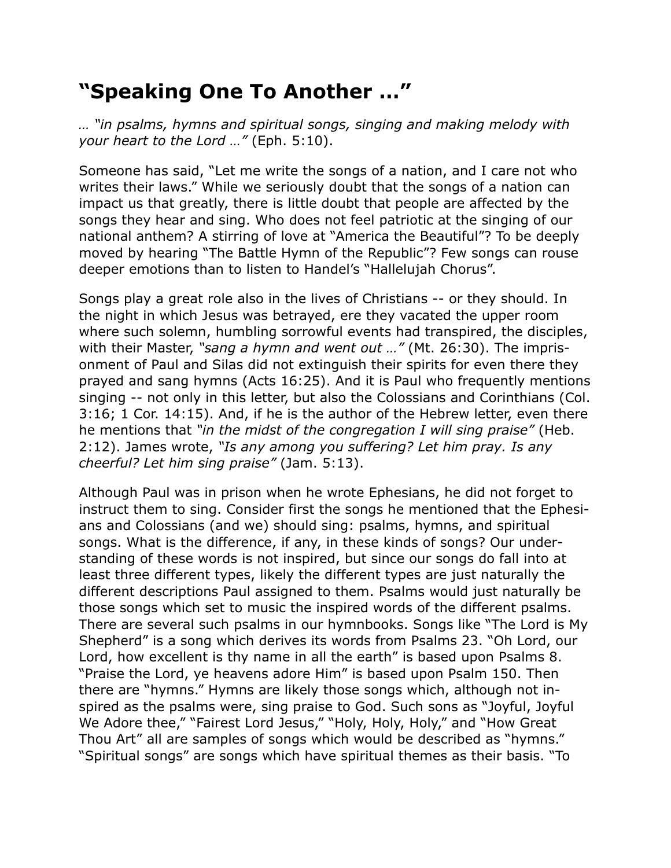## **"Speaking One To Another …"**

*… "in psalms, hymns and spiritual songs, singing and making melody with your heart to the Lord …"* (Eph. 5:10).

Someone has said, "Let me write the songs of a nation, and I care not who writes their laws." While we seriously doubt that the songs of a nation can impact us that greatly, there is little doubt that people are affected by the songs they hear and sing. Who does not feel patriotic at the singing of our national anthem? A stirring of love at "America the Beautiful"? To be deeply moved by hearing "The Battle Hymn of the Republic"? Few songs can rouse deeper emotions than to listen to Handel's "Hallelujah Chorus".

Songs play a great role also in the lives of Christians -- or they should. In the night in which Jesus was betrayed, ere they vacated the upper room where such solemn, humbling sorrowful events had transpired, the disciples, with their Master, *"sang a hymn and went out …"* (Mt. 26:30). The imprisonment of Paul and Silas did not extinguish their spirits for even there they prayed and sang hymns (Acts 16:25). And it is Paul who frequently mentions singing -- not only in this letter, but also the Colossians and Corinthians (Col. 3:16; 1 Cor. 14:15). And, if he is the author of the Hebrew letter, even there he mentions that *"in the midst of the congregation I will sing praise"* (Heb. 2:12). James wrote, *"Is any among you suffering? Let him pray. Is any cheerful? Let him sing praise"* (Jam. 5:13).

Although Paul was in prison when he wrote Ephesians, he did not forget to instruct them to sing. Consider first the songs he mentioned that the Ephesians and Colossians (and we) should sing: psalms, hymns, and spiritual songs. What is the difference, if any, in these kinds of songs? Our understanding of these words is not inspired, but since our songs do fall into at least three different types, likely the different types are just naturally the different descriptions Paul assigned to them. Psalms would just naturally be those songs which set to music the inspired words of the different psalms. There are several such psalms in our hymnbooks. Songs like "The Lord is My Shepherd" is a song which derives its words from Psalms 23. "Oh Lord, our Lord, how excellent is thy name in all the earth" is based upon Psalms 8. "Praise the Lord, ye heavens adore Him" is based upon Psalm 150. Then there are "hymns." Hymns are likely those songs which, although not inspired as the psalms were, sing praise to God. Such sons as "Joyful, Joyful We Adore thee," "Fairest Lord Jesus," "Holy, Holy, Holy," and "How Great Thou Art" all are samples of songs which would be described as "hymns." "Spiritual songs" are songs which have spiritual themes as their basis. "To